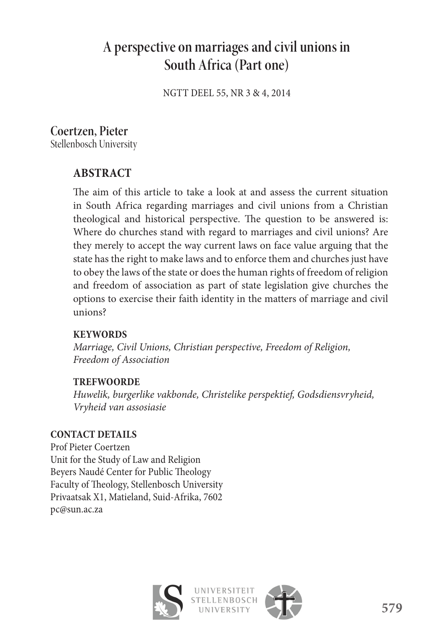# **A perspective on marriages and civil unions in South Africa (Part one)**

NGTT DEEL 55, NR 3 & 4, 2014

## **Coertzen, Pieter**

Stellenbosch University

## **ABSTRACT**

The aim of this article to take a look at and assess the current situation in South Africa regarding marriages and civil unions from a Christian theological and historical perspective. The question to be answered is: Where do churches stand with regard to marriages and civil unions? Are they merely to accept the way current laws on face value arguing that the state has the right to make laws and to enforce them and churches just have to obey the laws of the state or does the human rights of freedom of religion and freedom of association as part of state legislation give churches the options to exercise their faith identity in the matters of marriage and civil unions?

#### **KEYWORDS**

*Marriage, Civil Unions, Christian perspective, Freedom of Religion, Freedom of Association*

#### **TREFWOORDE**

*Huwelik, burgerlike vakbonde, Christelike perspektief, Godsdiensvryheid, Vryheid van assosiasie*

#### **CONTACT DETAILS**

Prof Pieter Coertzen Unit for the Study of Law and Religion Beyers Naudé Center for Public Theology Faculty of Theology, Stellenbosch University Privaatsak X1, Matieland, Suid-Afrika, 7602 pc@sun.ac.za



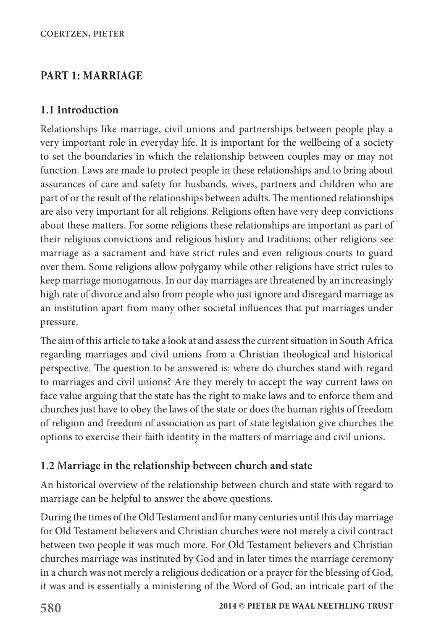### **PART 1: MARRIAGE**

#### **1.1 Introduction**

Relationships like marriage, civil unions and partnerships between people play a very important role in everyday life. It is important for the wellbeing of a society to set the boundaries in which the relationship between couples may or may not function. Laws are made to protect people in these relationships and to bring about assurances of care and safety for husbands, wives, partners and children who are part of or the result of the relationships between adults. The mentioned relationships are also very important for all religions. Religions often have very deep convictions about these matters. For some religions these relationships are important as part of their religious convictions and religious history and traditions; other religions see marriage as a sacrament and have strict rules and even religious courts to guard over them. Some religions allow polygamy while other religions have strict rules to keep marriage monogamous. In our day marriages are threatened by an increasingly high rate of divorce and also from people who just ignore and disregard marriage as an institution apart from many other societal influences that put marriages under pressure.

The aim of this article to take a look at and assess the current situation in South Africa regarding marriages and civil unions from a Christian theological and historical perspective. The question to be answered is: where do churches stand with regard to marriages and civil unions? Are they merely to accept the way current laws on face value arguing that the state has the right to make laws and to enforce them and churches just have to obey the laws of the state or does the human rights of freedom of religion and freedom of association as part of state legislation give churches the options to exercise their faith identity in the matters of marriage and civil unions.

#### **1.2 Marriage in the relationship between church and state**

An historical overview of the relationship between church and state with regard to marriage can be helpful to answer the above questions.

During the times of the Old Testament and for many centuries until this day marriage for Old Testament believers and Christian churches were not merely a civil contract between two people it was much more. For Old Testament believers and Christian churches marriage was instituted by God and in later times the marriage ceremony in a church was not merely a religious dedication or a prayer for the blessing of God, it was and is essentially a ministering of the Word of God, an intricate part of the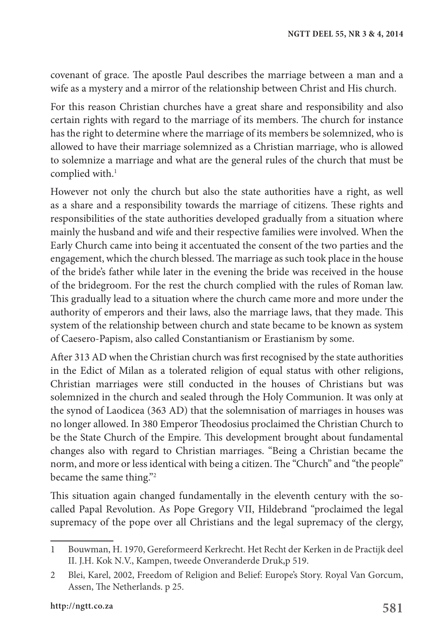covenant of grace. The apostle Paul describes the marriage between a man and a wife as a mystery and a mirror of the relationship between Christ and His church.

For this reason Christian churches have a great share and responsibility and also certain rights with regard to the marriage of its members. The church for instance has the right to determine where the marriage of its members be solemnized, who is allowed to have their marriage solemnized as a Christian marriage, who is allowed to solemnize a marriage and what are the general rules of the church that must be complied with.<sup>1</sup>

However not only the church but also the state authorities have a right, as well as a share and a responsibility towards the marriage of citizens. These rights and responsibilities of the state authorities developed gradually from a situation where mainly the husband and wife and their respective families were involved. When the Early Church came into being it accentuated the consent of the two parties and the engagement, which the church blessed. The marriage as such took place in the house of the bride's father while later in the evening the bride was received in the house of the bridegroom. For the rest the church complied with the rules of Roman law. This gradually lead to a situation where the church came more and more under the authority of emperors and their laws, also the marriage laws, that they made. This system of the relationship between church and state became to be known as system of Caesero-Papism, also called Constantianism or Erastianism by some.

After 313 AD when the Christian church was first recognised by the state authorities in the Edict of Milan as a tolerated religion of equal status with other religions, Christian marriages were still conducted in the houses of Christians but was solemnized in the church and sealed through the Holy Communion. It was only at the synod of Laodicea (363 AD) that the solemnisation of marriages in houses was no longer allowed. In 380 Emperor Theodosius proclaimed the Christian Church to be the State Church of the Empire. This development brought about fundamental changes also with regard to Christian marriages. "Being a Christian became the norm, and more or less identical with being a citizen. The "Church" and "the people" became the same thing."2

This situation again changed fundamentally in the eleventh century with the socalled Papal Revolution. As Pope Gregory VII, Hildebrand "proclaimed the legal supremacy of the pope over all Christians and the legal supremacy of the clergy,

<sup>1</sup> Bouwman, H. 1970, Gereformeerd Kerkrecht. Het Recht der Kerken in de Practijk deel II. J.H. Kok N.V., Kampen, tweede Onveranderde Druk,p 519.

<sup>2</sup> Blei, Karel, 2002, Freedom of Religion and Belief: Europe's Story. Royal Van Gorcum, Assen, The Netherlands. p 25.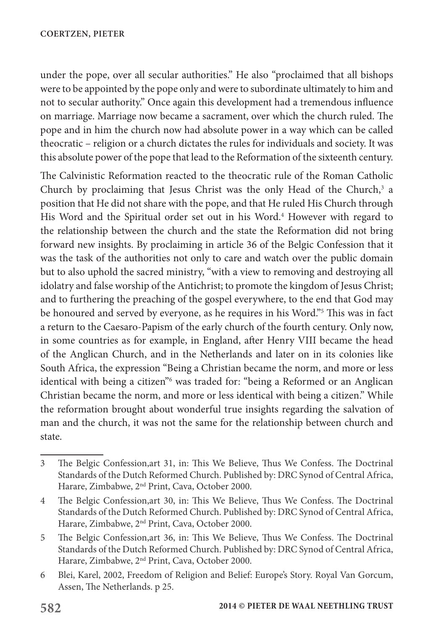under the pope, over all secular authorities." He also "proclaimed that all bishops were to be appointed by the pope only and were to subordinate ultimately to him and not to secular authority." Once again this development had a tremendous influence on marriage. Marriage now became a sacrament, over which the church ruled. The pope and in him the church now had absolute power in a way which can be called theocratic – religion or a church dictates the rules for individuals and society. It was this absolute power of the pope that lead to the Reformation of the sixteenth century.

The Calvinistic Reformation reacted to the theocratic rule of the Roman Catholic Church by proclaiming that Jesus Christ was the only Head of the Church,<sup>3</sup> a position that He did not share with the pope, and that He ruled His Church through His Word and the Spiritual order set out in his Word.<sup>4</sup> However with regard to the relationship between the church and the state the Reformation did not bring forward new insights. By proclaiming in article 36 of the Belgic Confession that it was the task of the authorities not only to care and watch over the public domain but to also uphold the sacred ministry, "with a view to removing and destroying all idolatry and false worship of the Antichrist; to promote the kingdom of Jesus Christ; and to furthering the preaching of the gospel everywhere, to the end that God may be honoured and served by everyone, as he requires in his Word."5 This was in fact a return to the Caesaro-Papism of the early church of the fourth century. Only now, in some countries as for example, in England, after Henry VIII became the head of the Anglican Church, and in the Netherlands and later on in its colonies like South Africa, the expression "Being a Christian became the norm, and more or less identical with being a citizen<sup>n6</sup> was traded for: "being a Reformed or an Anglican Christian became the norm, and more or less identical with being a citizen." While the reformation brought about wonderful true insights regarding the salvation of man and the church, it was not the same for the relationship between church and state.

<sup>3</sup> The Belgic Confession,art 31, in: This We Believe, Thus We Confess. The Doctrinal Standards of the Dutch Reformed Church. Published by: DRC Synod of Central Africa, Harare, Zimbabwe, 2nd Print, Cava, October 2000.

<sup>4</sup> The Belgic Confession,art 30, in: This We Believe, Thus We Confess. The Doctrinal Standards of the Dutch Reformed Church. Published by: DRC Synod of Central Africa, Harare, Zimbabwe, 2nd Print, Cava, October 2000.

<sup>5</sup> The Belgic Confession,art 36, in: This We Believe, Thus We Confess. The Doctrinal Standards of the Dutch Reformed Church. Published by: DRC Synod of Central Africa, Harare, Zimbabwe, 2nd Print, Cava, October 2000.

<sup>6</sup> Blei, Karel, 2002, Freedom of Religion and Belief: Europe's Story. Royal Van Gorcum, Assen, The Netherlands. p 25.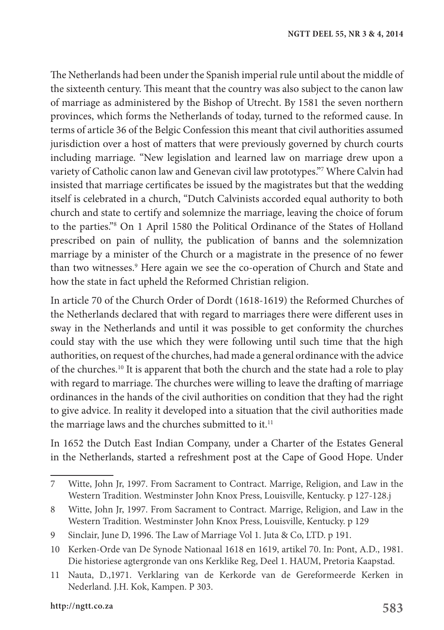The Netherlands had been under the Spanish imperial rule until about the middle of the sixteenth century. This meant that the country was also subject to the canon law of marriage as administered by the Bishop of Utrecht. By 1581 the seven northern provinces, which forms the Netherlands of today, turned to the reformed cause. In terms of article 36 of the Belgic Confession this meant that civil authorities assumed jurisdiction over a host of matters that were previously governed by church courts including marriage. "New legislation and learned law on marriage drew upon a variety of Catholic canon law and Genevan civil law prototypes."7 Where Calvin had insisted that marriage certificates be issued by the magistrates but that the wedding itself is celebrated in a church, "Dutch Calvinists accorded equal authority to both church and state to certify and solemnize the marriage, leaving the choice of forum to the parties."8 On 1 April 1580 the Political Ordinance of the States of Holland prescribed on pain of nullity, the publication of banns and the solemnization marriage by a minister of the Church or a magistrate in the presence of no fewer than two witnesses.<sup>9</sup> Here again we see the co-operation of Church and State and how the state in fact upheld the Reformed Christian religion.

In article 70 of the Church Order of Dordt (1618-1619) the Reformed Churches of the Netherlands declared that with regard to marriages there were different uses in sway in the Netherlands and until it was possible to get conformity the churches could stay with the use which they were following until such time that the high authorities, on request of the churches, had made a general ordinance with the advice of the churches.10 It is apparent that both the church and the state had a role to play with regard to marriage. The churches were willing to leave the drafting of marriage ordinances in the hands of the civil authorities on condition that they had the right to give advice. In reality it developed into a situation that the civil authorities made the marriage laws and the churches submitted to it.<sup>11</sup>

In 1652 the Dutch East Indian Company, under a Charter of the Estates General in the Netherlands, started a refreshment post at the Cape of Good Hope. Under

<sup>7</sup> Witte, John Jr, 1997. From Sacrament to Contract. Marrige, Religion, and Law in the Western Tradition. Westminster John Knox Press, Louisville, Kentucky. p 127-128.j

<sup>8</sup> Witte, John Jr, 1997. From Sacrament to Contract. Marrige, Religion, and Law in the Western Tradition. Westminster John Knox Press, Louisville, Kentucky. p 129

<sup>9</sup> Sinclair, June D, 1996. The Law of Marriage Vol 1. Juta & Co, LTD. p 191.

<sup>10</sup> Kerken-Orde van De Synode Nationaal 1618 en 1619, artikel 70. In: Pont, A.D., 1981. Die historiese agtergronde van ons Kerklike Reg, Deel 1. HAUM, Pretoria Kaapstad.

<sup>11</sup> Nauta, D.,1971. Verklaring van de Kerkorde van de Gereformeerde Kerken in Nederland. J.H. Kok, Kampen. P 303.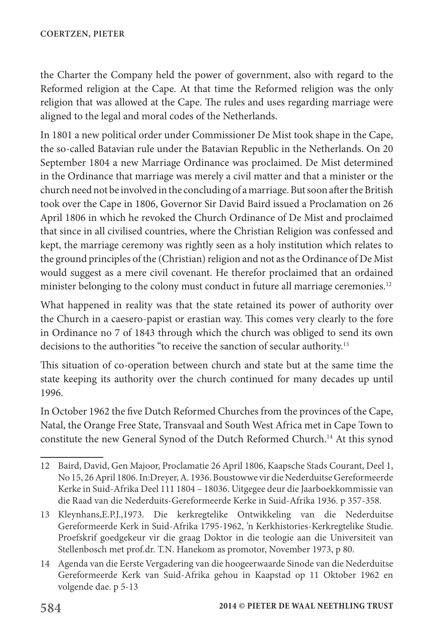the Charter the Company held the power of government, also with regard to the Reformed religion at the Cape. At that time the Reformed religion was the only religion that was allowed at the Cape. The rules and uses regarding marriage were aligned to the legal and moral codes of the Netherlands.

In 1801 a new political order under Commissioner De Mist took shape in the Cape, the so-called Batavian rule under the Batavian Republic in the Netherlands. On 20 September 1804 a new Marriage Ordinance was proclaimed. De Mist determined in the Ordinance that marriage was merely a civil matter and that a minister or the church need not be involved in the concluding of a marriage. But soon after the British took over the Cape in 1806, Governor Sir David Baird issued a Proclamation on 26 April 1806 in which he revoked the Church Ordinance of De Mist and proclaimed that since in all civilised countries, where the Christian Religion was confessed and kept, the marriage ceremony was rightly seen as a holy institution which relates to the ground principles of the (Christian) religion and not as the Ordinance of De Mist would suggest as a mere civil covenant. He therefor proclaimed that an ordained minister belonging to the colony must conduct in future all marriage ceremonies.<sup>12</sup>

What happened in reality was that the state retained its power of authority over the Church in a caesero-papist or erastian way. This comes very clearly to the fore in Ordinance no 7 of 1843 through which the church was obliged to send its own decisions to the authorities "to receive the sanction of secular authority.13

This situation of co-operation between church and state but at the same time the state keeping its authority over the church continued for many decades up until 1996.

In October 1962 the five Dutch Reformed Churches from the provinces of the Cape, Natal, the Orange Free State, Transvaal and South West Africa met in Cape Town to constitute the new General Synod of the Dutch Reformed Church.14 At this synod

<sup>12</sup> Baird, David, Gen Majoor, Proclamatie 26 April 1806, Kaapsche Stads Courant, Deel 1, No 15, 26 April 1806. In:Dreyer, A. 1936. Boustowwe vir die Nederduitse Gereformeerde Kerke in Suid-Afrika Deel 111 1804 – 18036. Uitgegee deur die Jaarboekkommissie van die Raad van die Nederduits-Gereformeerde Kerke in Suid-Afrika 1936. p 357-358.

<sup>13</sup> Kleynhans,E.P.J.,1973. Die kerkregtelike Ontwikkeling van die Nederduitse Gereformeerde Kerk in Suid-Afrika 1795-1962, 'n Kerkhistories-Kerkregtelike Studie. Proefskrif goedgekeur vir die graag Doktor in die teologie aan die Universiteit van Stellenbosch met prof.dr. T.N. Hanekom as promotor, November 1973, p 80.

<sup>14</sup> Agenda van die Eerste Vergadering van die hoogeerwaarde Sinode van die Nederduitse Gereformeerde Kerk van Suid-Afrika gehou in Kaapstad op 11 Oktober 1962 en volgende dae. p 5-13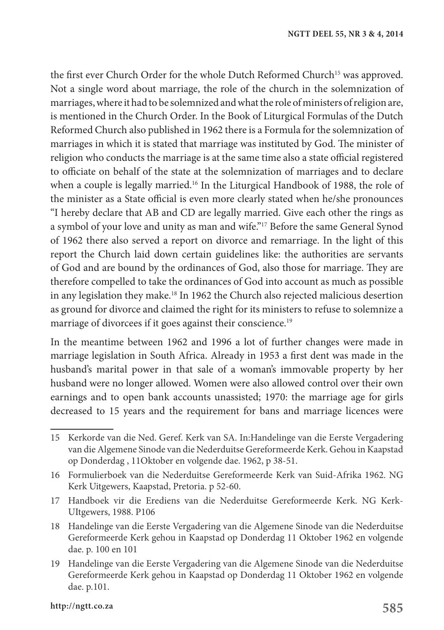the first ever Church Order for the whole Dutch Reformed Church<sup>15</sup> was approved. Not a single word about marriage, the role of the church in the solemnization of marriages, where it had to be solemnized and what the role of ministers of religion are, is mentioned in the Church Order. In the Book of Liturgical Formulas of the Dutch Reformed Church also published in 1962 there is a Formula for the solemnization of marriages in which it is stated that marriage was instituted by God. The minister of religion who conducts the marriage is at the same time also a state official registered to officiate on behalf of the state at the solemnization of marriages and to declare when a couple is legally married.<sup>16</sup> In the Liturgical Handbook of 1988, the role of the minister as a State official is even more clearly stated when he/she pronounces "I hereby declare that AB and CD are legally married. Give each other the rings as a symbol of your love and unity as man and wife."17 Before the same General Synod of 1962 there also served a report on divorce and remarriage. In the light of this report the Church laid down certain guidelines like: the authorities are servants of God and are bound by the ordinances of God, also those for marriage. They are therefore compelled to take the ordinances of God into account as much as possible in any legislation they make.18 In 1962 the Church also rejected malicious desertion as ground for divorce and claimed the right for its ministers to refuse to solemnize a marriage of divorcees if it goes against their conscience.<sup>19</sup>

In the meantime between 1962 and 1996 a lot of further changes were made in marriage legislation in South Africa. Already in 1953 a first dent was made in the husband's marital power in that sale of a woman's immovable property by her husband were no longer allowed. Women were also allowed control over their own earnings and to open bank accounts unassisted; 1970: the marriage age for girls decreased to 15 years and the requirement for bans and marriage licences were

17 Handboek vir die Erediens van die Nederduitse Gereformeerde Kerk. NG Kerk-UItgewers, 1988. P106

<sup>15</sup> Kerkorde van die Ned. Geref. Kerk van SA. In:Handelinge van die Eerste Vergadering van die Algemene Sinode van die Nederduitse Gereformeerde Kerk. Gehou in Kaapstad op Donderdag , 11Oktober en volgende dae. 1962, p 38-51.

<sup>16</sup> Formulierboek van die Nederduitse Gereformeerde Kerk van Suid-Afrika 1962. NG Kerk Uitgewers, Kaapstad, Pretoria. p 52-60.

<sup>18</sup> Handelinge van die Eerste Vergadering van die Algemene Sinode van die Nederduitse Gereformeerde Kerk gehou in Kaapstad op Donderdag 11 Oktober 1962 en volgende dae. p. 100 en 101

<sup>19</sup> Handelinge van die Eerste Vergadering van die Algemene Sinode van die Nederduitse Gereformeerde Kerk gehou in Kaapstad op Donderdag 11 Oktober 1962 en volgende dae. p.101.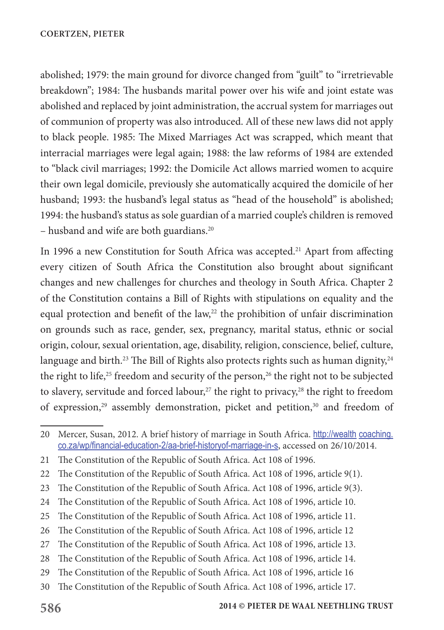abolished; 1979: the main ground for divorce changed from "guilt" to "irretrievable breakdown"; 1984: The husbands marital power over his wife and joint estate was abolished and replaced by joint administration, the accrual system for marriages out of communion of property was also introduced. All of these new laws did not apply to black people. 1985: The Mixed Marriages Act was scrapped, which meant that interracial marriages were legal again; 1988: the law reforms of 1984 are extended to "black civil marriages; 1992: the Domicile Act allows married women to acquire their own legal domicile, previously she automatically acquired the domicile of her husband; 1993: the husband's legal status as "head of the household" is abolished; 1994: the husband's status as sole guardian of a married couple's children is removed – husband and wife are both guardians.<sup>20</sup>

In 1996 a new Constitution for South Africa was accepted.<sup>21</sup> Apart from affecting every citizen of South Africa the Constitution also brought about significant changes and new challenges for churches and theology in South Africa. Chapter 2 of the Constitution contains a Bill of Rights with stipulations on equality and the equal protection and benefit of the law,<sup>22</sup> the prohibition of unfair discrimination on grounds such as race, gender, sex, pregnancy, marital status, ethnic or social origin, colour, sexual orientation, age, disability, religion, conscience, belief, culture, language and birth.<sup>23</sup> The Bill of Rights also protects rights such as human dignity, $24$ the right to life,<sup>25</sup> freedom and security of the person,<sup>26</sup> the right not to be subjected to slavery, servitude and forced labour,<sup>27</sup> the right to privacy,<sup>28</sup> the right to freedom of expression,<sup>29</sup> assembly demonstration, picket and petition,<sup>30</sup> and freedom of

<sup>20</sup> Mercer, Susan, 2012. A brief history of marriage in South Africa. http://wealth coaching. co.za/wp/financial-education-2/aa-brief-historyof-marriage-in-s, accessed on 26/10/2014.

<sup>21</sup> The Constitution of the Republic of South Africa. Act 108 of 1996.

<sup>22</sup> The Constitution of the Republic of South Africa. Act 108 of 1996, article 9(1).

<sup>23</sup> The Constitution of the Republic of South Africa. Act 108 of 1996, article 9(3).

<sup>24</sup> The Constitution of the Republic of South Africa. Act 108 of 1996, article 10.

<sup>25</sup> The Constitution of the Republic of South Africa. Act 108 of 1996, article 11.

<sup>26</sup> The Constitution of the Republic of South Africa. Act 108 of 1996, article 12

<sup>27</sup> The Constitution of the Republic of South Africa. Act 108 of 1996, article 13.

<sup>28</sup> The Constitution of the Republic of South Africa. Act 108 of 1996, article 14.

<sup>29</sup> The Constitution of the Republic of South Africa. Act 108 of 1996, article 16

<sup>30</sup> The Constitution of the Republic of South Africa. Act 108 of 1996, article 17.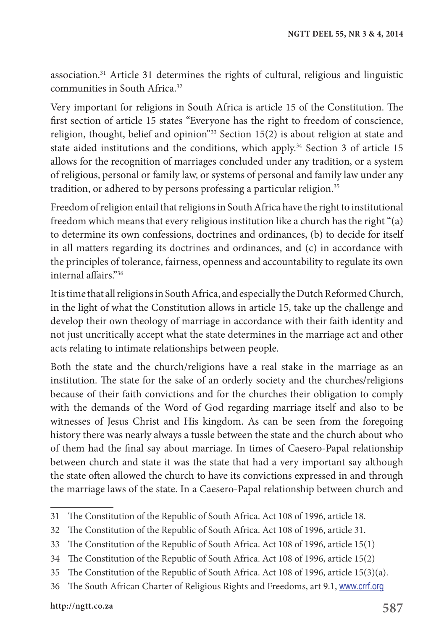association.31 Article 31 determines the rights of cultural, religious and linguistic communities in South Africa.<sup>32</sup>

Very important for religions in South Africa is article 15 of the Constitution. The first section of article 15 states "Everyone has the right to freedom of conscience, religion, thought, belief and opinion"33 Section 15(2) is about religion at state and state aided institutions and the conditions, which apply.<sup>34</sup> Section 3 of article 15 allows for the recognition of marriages concluded under any tradition, or a system of religious, personal or family law, or systems of personal and family law under any tradition, or adhered to by persons professing a particular religion.<sup>35</sup>

Freedom of religion entail that religions in South Africa have the right to institutional freedom which means that every religious institution like a church has the right "(a) to determine its own confessions, doctrines and ordinances, (b) to decide for itself in all matters regarding its doctrines and ordinances, and (c) in accordance with the principles of tolerance, fairness, openness and accountability to regulate its own internal affairs."36

It is time that all religions in South Africa, and especially the Dutch Reformed Church, in the light of what the Constitution allows in article 15, take up the challenge and develop their own theology of marriage in accordance with their faith identity and not just uncritically accept what the state determines in the marriage act and other acts relating to intimate relationships between people.

Both the state and the church/religions have a real stake in the marriage as an institution. The state for the sake of an orderly society and the churches/religions because of their faith convictions and for the churches their obligation to comply with the demands of the Word of God regarding marriage itself and also to be witnesses of Jesus Christ and His kingdom. As can be seen from the foregoing history there was nearly always a tussle between the state and the church about who of them had the final say about marriage. In times of Caesero-Papal relationship between church and state it was the state that had a very important say although the state often allowed the church to have its convictions expressed in and through the marriage laws of the state. In a Caesero-Papal relationship between church and

<sup>31</sup> The Constitution of the Republic of South Africa. Act 108 of 1996, article 18.

<sup>32</sup> The Constitution of the Republic of South Africa. Act 108 of 1996, article 31.

<sup>33</sup> The Constitution of the Republic of South Africa. Act 108 of 1996, article 15(1)

<sup>34</sup> The Constitution of the Republic of South Africa. Act 108 of 1996, article 15(2)

<sup>35</sup> The Constitution of the Republic of South Africa. Act 108 of 1996, article 15(3)(a).

<sup>36</sup> The South African Charter of Religious Rights and Freedoms, art 9.1, www.crrf.org